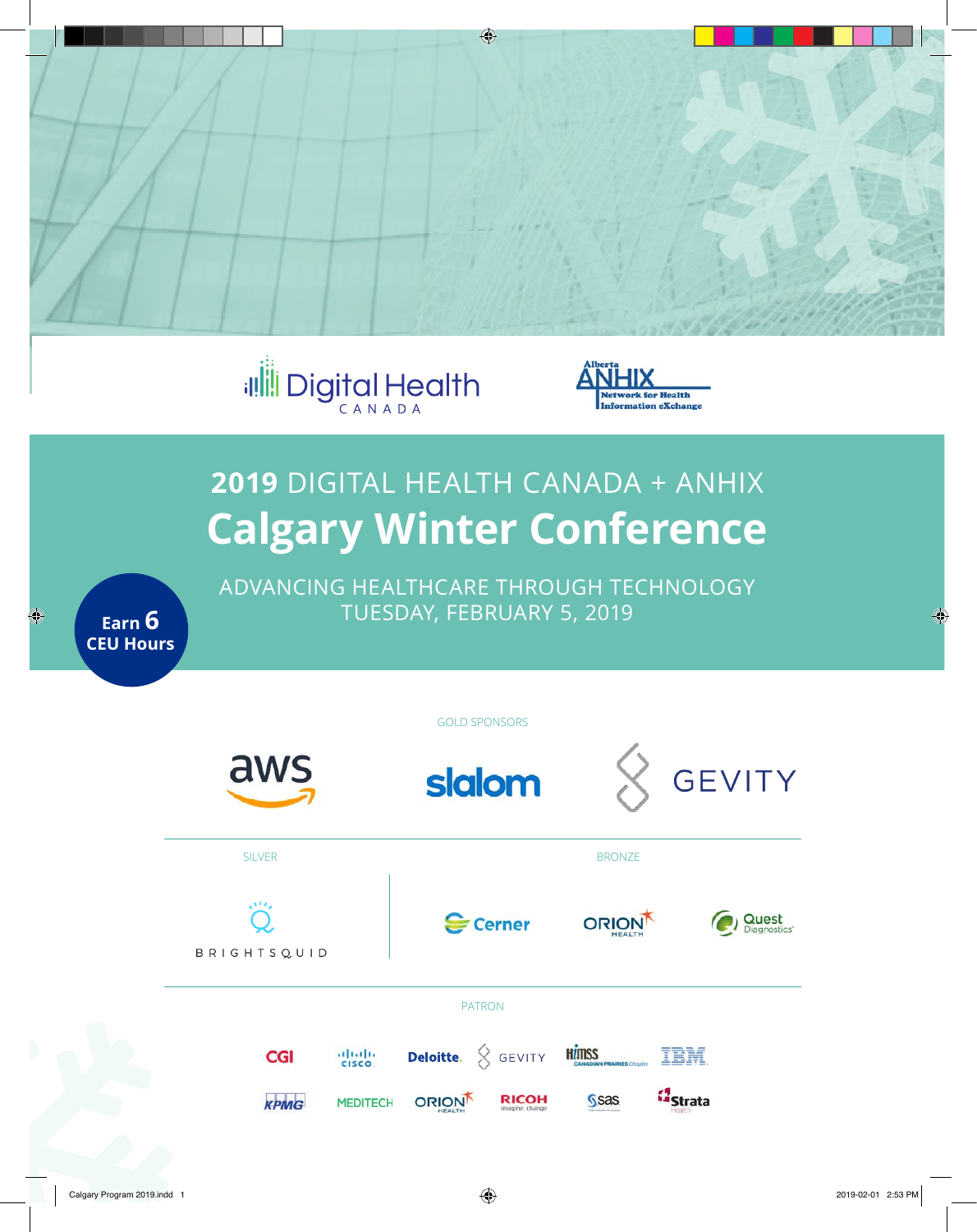



# **2019** DIGITAL HEALTH CANADA + ANHIX **Calgary Winter Conference**

ADVANCING HEALTHCARE THROUGH TECHNOLOGY TUESDAY, FEBRUARY 5, 2019

**Earn 6 CEU Hours**

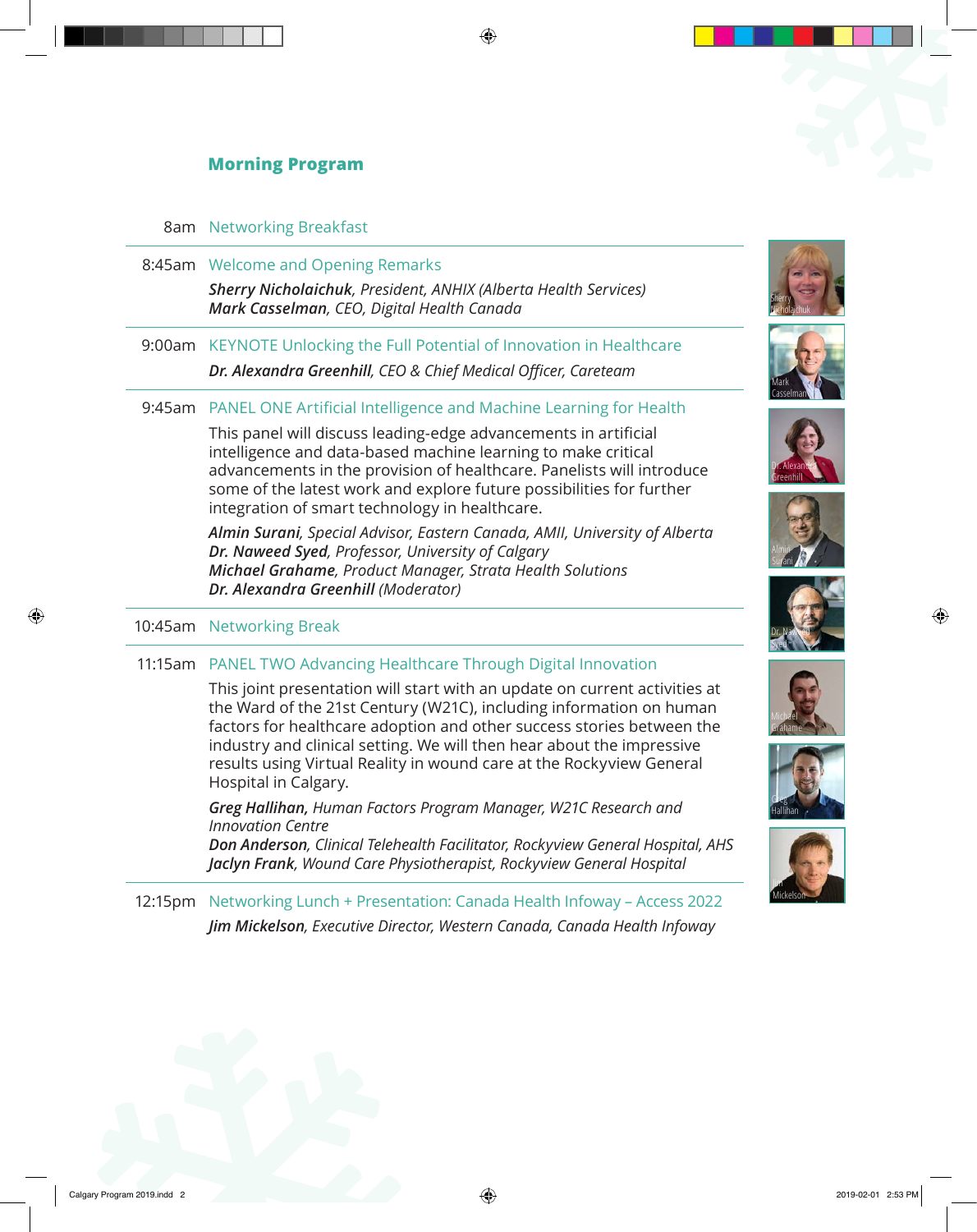# **Morning Program**

## 8am Networking Breakfast

8:45am Welcome and Opening Remarks *Sherry Nicholaichuk, President, ANHIX (Alberta Health Services) Mark Casselman, CEO, Digital Health Canada*

9:00am KEYNOTE Unlocking the Full Potential of Innovation in Healthcare *Dr. Alexandra Greenhill, CEO & Chief Medical Officer, Careteam*

# 9:45am PANEL ONE Artificial Intelligence and Machine Learning for Health

This panel will discuss leading-edge advancements in artificial intelligence and data-based machine learning to make critical advancements in the provision of healthcare. Panelists will introduce some of the latest work and explore future possibilities for further integration of smart technology in healthcare.

*Almin Surani, Special Advisor, Eastern Canada, AMII, University of Alberta Dr. Naweed Syed, Professor, University of Calgary Michael Grahame, Product Manager, Strata Health Solutions Dr. Alexandra Greenhill (Moderator)*

## 10:45am Networking Break

## 11:15am PANEL TWO Advancing Healthcare Through Digital Innovation

This joint presentation will start with an update on current activities at the Ward of the 21st Century (W21C), including information on human factors for healthcare adoption and other success stories between the industry and clinical setting. We will then hear about the impressive results using Virtual Reality in wound care at the Rockyview General Hospital in Calgary.

*Greg Hallihan, Human Factors Program Manager, W21C Research and Innovation Centre*

*Don Anderson, Clinical Telehealth Facilitator, Rockyview General Hospital, AHS Jaclyn Frank, Wound Care Physiotherapist, Rockyview General Hospital* 

12:15pm Networking Lunch + Presentation: Canada Health Infoway – Access 2022 *Jim Mickelson, Executive Director, Western Canada, Canada Health Infoway*















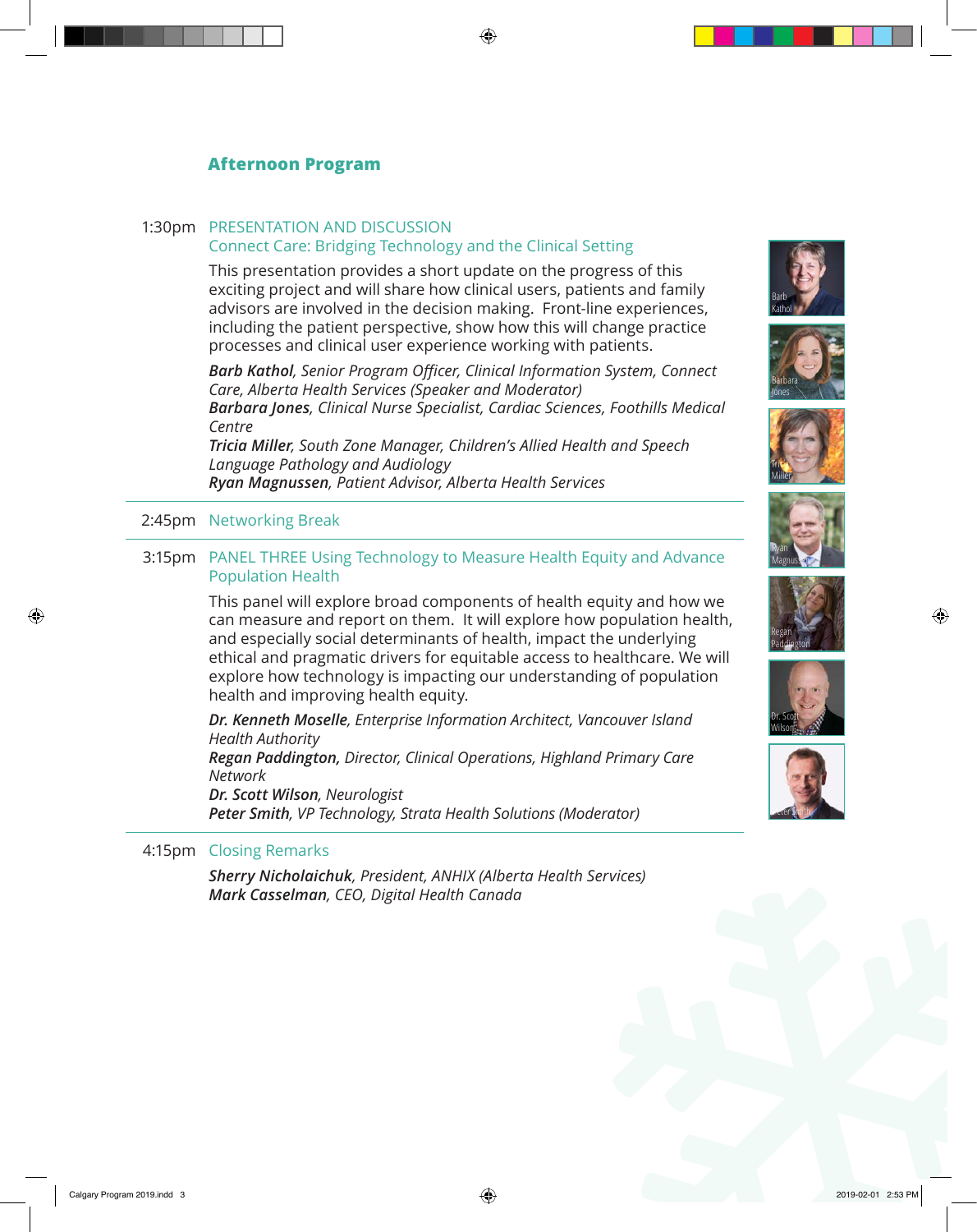# **Afternoon Program**

## 1:30pm PRESENTATION AND DISCUSSION

### Connect Care: Bridging Technology and the Clinical Setting

This presentation provides a short update on the progress of this exciting project and will share how clinical users, patients and family advisors are involved in the decision making. Front-line experiences, including the patient perspective, show how this will change practice processes and clinical user experience working with patients.

*Barb Kathol, Senior Program Officer, Clinical Information System, Connect Care, Alberta Health Services (Speaker and Moderator) Barbara Jones, Clinical Nurse Specialist, Cardiac Sciences, Foothills Medical Centre*

*Tricia Miller, South Zone Manager, Children's Allied Health and Speech Language Pathology and Audiology Ryan Magnussen, Patient Advisor, Alberta Health Services*

2:45pm Networking Break

### 3:15pm PANEL THREE Using Technology to Measure Health Equity and Advance Population Health

This panel will explore broad components of health equity and how we can measure and report on them. It will explore how population health, and especially social determinants of health, impact the underlying ethical and pragmatic drivers for equitable access to healthcare. We will explore how technology is impacting our understanding of population health and improving health equity.

*Dr. Kenneth Moselle, Enterprise Information Architect, Vancouver Island Health Authority*

*Regan Paddington, Director, Clinical Operations, Highland Primary Care Network*

*Dr. Scott Wilson, Neurologist Peter Smith, VP Technology, Strata Health Solutions (Moderator)*

### 4:15pm Closing Remarks

*Sherry Nicholaichuk, President, ANHIX (Alberta Health Services) Mark Casselman, CEO, Digital Health Canada*